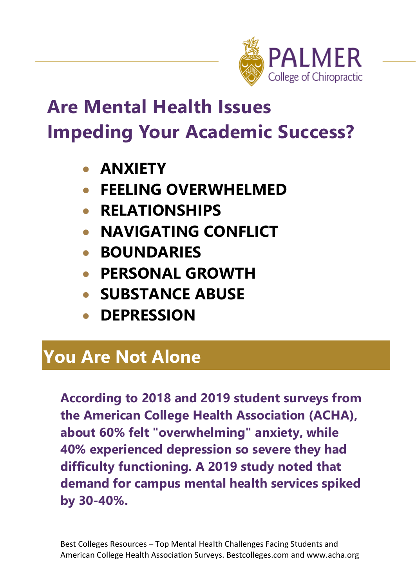

# **Are Mental Health Issues Impeding Your Academic Success?**

- **ANXIETY**
- **FEELING OVERWHELMED**
- **RELATIONSHIPS**
- **NAVIGATING CONFLICT**
- **BOUNDARIES**
- **PERSONAL GROWTH**
- **SUBSTANCE ABUSE**
- **DEPRESSION**

## **You Are Not Alone**

**According to 2018 and 2019 student surveys from the American College Health Association (ACHA), about 60% felt "overwhelming" anxiety, while 40% experienced depression so severe they had difficulty functioning. A 2019 study noted that demand for campus mental health services spiked by 30-40%.**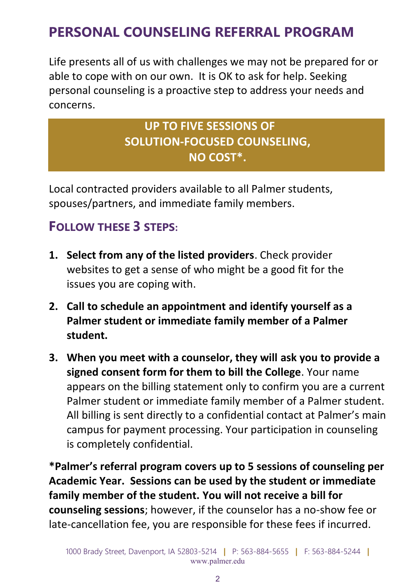## **PERSONAL COUNSELING REFERRAL PROGRAM**

Life presents all of us with challenges we may not be prepared for or able to cope with on our own. It is OK to ask for help. Seeking personal counseling is a proactive step to address your needs and concerns.

#### **UP TO FIVE SESSIONS OF SOLUTION-FOCUSED COUNSELING, NO COST\*.**

Local contracted providers available to all Palmer students, spouses/partners, and immediate family members.

#### **FOLLOW THESE 3 STEPS:**

- **1. Select from any of the listed providers**. Check provider websites to get a sense of who might be a good fit for the issues you are coping with.
- **2. Call to schedule an appointment and identify yourself as a Palmer student or immediate family member of a Palmer student.**
- **3. When you meet with a counselor, they will ask you to provide a signed consent form for them to bill the College**. Your name appears on the billing statement only to confirm you are a current Palmer student or immediate family member of a Palmer student. All billing is sent directly to a confidential contact at Palmer's main campus for payment processing. Your participation in counseling is completely confidential.

**\*Palmer's referral program covers up to 5 sessions of counseling per Academic Year. Sessions can be used by the student or immediate family member of the student. You will not receive a bill for counseling sessions**; however, if the counselor has a no-show fee or late-cancellation fee, you are responsible for these fees if incurred.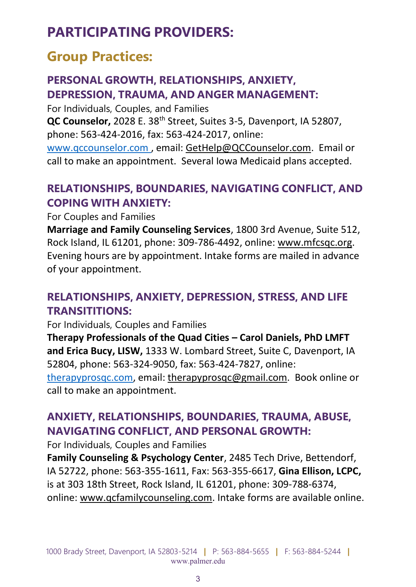## **PARTICIPATING PROVIDERS:**

### **Group Practices:**

#### **PERSONAL GROWTH, RELATIONSHIPS, ANXIETY, DEPRESSION, TRAUMA, AND ANGER MANAGEMENT:**

For Individuals, Couples, and Families

**QC Counselor,** 2028 E. 38th Street, Suites 3-5, Davenport, IA 52807, phone: 563-424-2016, fax: 563-424-2017, online:

www.qccounselor.com , email: [GetHelp@QCCounselor.com.](mailto:GetHelp@QCCounselor.com) Email or call to make an appointment. Several Iowa Medicaid plans accepted.

#### **RELATIONSHIPS, BOUNDARIES, NAVIGATING CONFLICT, AND COPING WITH ANXIETY:**

For Couples and Families

**Marriage and Family Counseling Services**, 1800 3rd Avenue, Suite 512, Rock Island, IL 61201, phone: 309-786-4492, online: [www.mfcsqc.org.](http://www.mfcsqc.org/) Evening hours are by appointment. Intake forms are mailed in advance of your appointment.

#### **RELATIONSHIPS, ANXIETY, DEPRESSION, STRESS, AND LIFE TRANSITITIONS:**

For Individuals, Couples and Families

**Therapy Professionals of the Quad Cities – Carol Daniels, PhD LMFT and Erica Bucy, LISW,** 1333 W. Lombard Street, Suite C, Davenport, IA 52804, phone: 563-324-9050, fax: 563-424-7827, online: [therapyprosqc.com,](mailto:therapyprosqc.com) email: [therapyprosqc@gmail.com.](mailto:therapyprosqc@gmail.com) Book online or

call to make an appointment.

#### **ANXIETY, RELATIONSHIPS, BOUNDARIES, TRAUMA, ABUSE, NAVIGATING CONFLICT, AND PERSONAL GROWTH:**

For Individuals, Couples and Families

**Family Counseling & Psychology Center**, 2485 Tech Drive, Bettendorf, IA 52722, phone: 563-355-1611, Fax: 563-355-6617, **Gina Ellison, LCPC,** is at 303 18th Street, Rock Island, IL 61201, phone: 309-788-6374, online: [www.qcfamilycounseling.com.](http://www.qcfamilycounseling.com/) Intake forms are available online.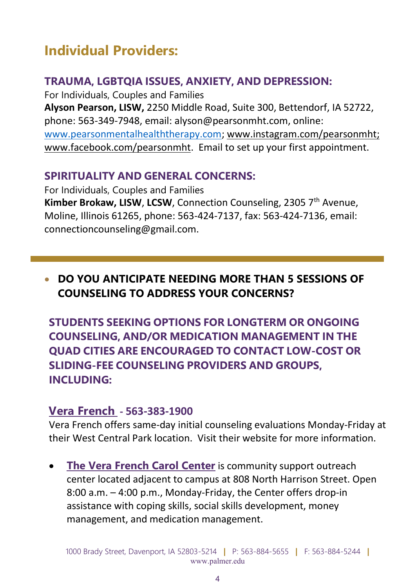## **Individual Providers:**

#### **TRAUMA, LGBTQIA ISSUES, ANXIETY, AND DEPRESSION:**

For Individuals, Couples and Families **Alyson Pearson, LISW,** 2250 Middle Road, Suite 300, Bettendorf, IA 52722, phone: 563-349-7948, email: alyson@pearsonmht.com, online: [www.pearsonmentalhealththerapy.com;](http://www.pearsonmentalhealththerapy.com/) [www.instagram.com/pearsonmht;](https://protect-us.mimecast.com/s/PVsiCR6kN1HrLXJPIO0hyA?domain=instagram.com) [www.facebook.com/pearsonmht.](https://protect-us.mimecast.com/s/zlNlCW6pVqHjB82wup6AEY?domain=facebook.com) Email to set up your first appointment.

#### **SPIRITUALITY AND GENERAL CONCERNS:**

For Individuals, Couples and Families **Kimber Brokaw, LISW, LCSW, Connection Counseling, 2305 7<sup>th</sup> Avenue,** Moline, Illinois 61265, phone: 563-424-7137, fax: 563-424-7136, email: connectioncounseling@gmail.com.

#### • **DO YOU ANTICIPATE NEEDING MORE THAN 5 SESSIONS OF COUNSELING TO ADDRESS YOUR CONCERNS?**

**STUDENTS SEEKING OPTIONS FOR LONGTERM OR ONGOING COUNSELING, AND/OR MEDICATION MANAGEMENT IN THE QUAD CITIES ARE ENCOURAGED TO CONTACT LOW-COST OR SLIDING-FEE COUNSELING PROVIDERS AND GROUPS, INCLUDING:**

#### **[Vera French](https://www.verafrenchmhc.org/) - 563-383-1900**

Vera French offers same-day initial counseling evaluations Monday-Friday at their West Central Park location. Visit their [website](https://www.verafrenchmhc.org/services-for-adults/same-day-care/) for more information.

• **[The Vera French Carol Center](https://www.verafrenchmhc.org/vera-french-mental-health-center/carol-center/)** is community support outreach center located adjacent to campus at 808 North Harrison Street. Open 8:00 a.m. – 4:00 p.m., Monday-Friday, the Center offers drop-in assistance with coping skills, social skills development, money management, and medication management.